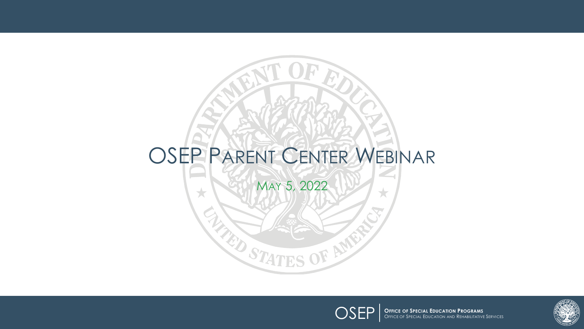# OSEP PARENT CENTER WEBINAR MAY 5, 2022 $\bigstar$ **TED STATES OF AME**



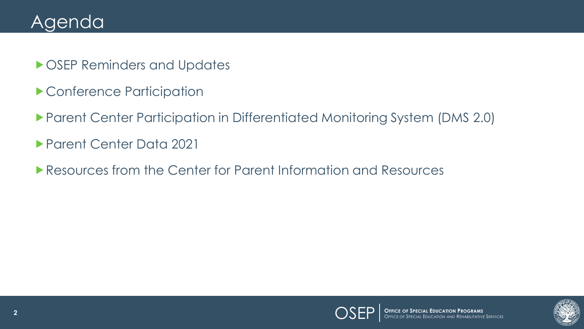#### Agenda

- **DOSEP Reminders and Updates**
- Conference Participation
- Parent Center Participation in Differentiated Monitoring System (DMS 2.0)
- Parent Center Data 2021
- **Resources from the Center for Parent Information and Resources**

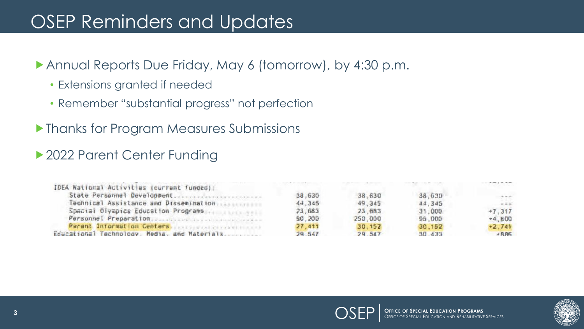#### OSEP Reminders and Updates

Annual Reports Due Friday, May 6 (tomorrow), by 4:30 p.m.

- Extensions granted if needed
- Remember "substantial progress" not perfection
- Thanks for Program Measures Submissions

#### ▶ 2022 Parent Center Funding

| IDEA National Activities (current funded);             |        |         |        |          |
|--------------------------------------------------------|--------|---------|--------|----------|
| State Personnel Development.                           | 38.630 | 38.630  | 38,630 |          |
|                                                        | 44.345 | 49.345  | 44.345 | $= 10$   |
| Special Divepics Education Programs                    | 23,683 | 23 683  | 31,000 | $+7.317$ |
| Personnel Preparation, Support in the commitment of    | 90.200 | 250,000 | 95,000 | $*4.800$ |
| Parent Information Centers parameters and constitution | 27,411 | 30.152  | 30.152 | $+2.741$ |
| Educational Technology. Media, and Materials           | 29.547 | 29 547  | 30 433 | $+885$   |



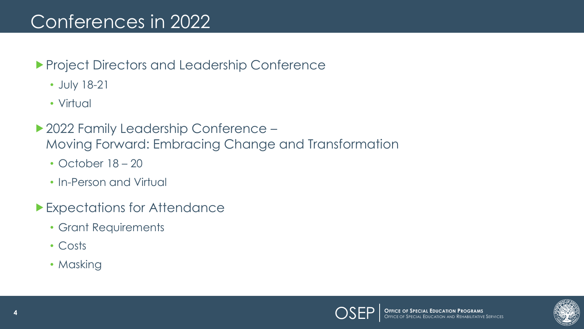#### Conferences in 2022

- **Project Directors and Leadership Conference** 
	- July 18-21
	- Virtual
- ▶ 2022 Family Leadership Conference Moving Forward: Embracing Change and Transformation
	- October 18 20
	- In-Person and Virtual
- Expectations for Attendance
	- Grant Requirements
	- Costs
	- Masking

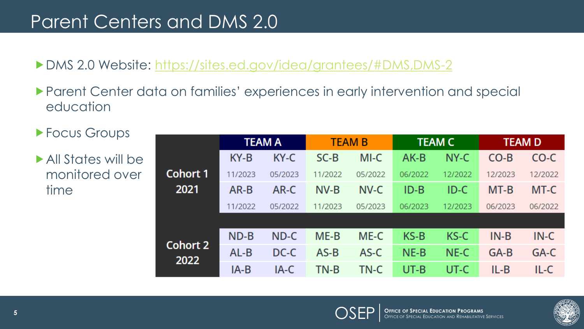#### Parent Centers and DMS 2.0

#### DMS 2.0 Website: <https://sites.ed.gov/idea/grantees/#DMS,DMS-2>

- Parent Center data on families' experiences in early intervention and special education
- ▶ Focus Groups

All States will be monitored over time

|                  | <b>TEAM A</b> |         | <b>TEAM B</b> |         | <b>TEAM C</b> |         | <b>TEAM D</b> |         |
|------------------|---------------|---------|---------------|---------|---------------|---------|---------------|---------|
|                  | KY-B          | KY-C    | $SC-B$        | MI-C    | AK-B          | NY-C    | $CO-B$        | CO-C    |
| <b>Cohort 1</b>  | 11/2023       | 05/2023 | 11/2022       | 05/2022 | 06/2022       | 12/2022 | 12/2023       | 12/2022 |
| 2021             | AR-B          | AR-C    | NV-B          | NV-C    | $ID-B$        | ID-C    | MT-B          | MT-C    |
|                  | 11/2022       | 05/2022 | 11/2023       | 05/2023 | 06/2023       | 12/2023 | 06/2023       | 06/2022 |
|                  |               |         |               |         |               |         |               |         |
| Cohort 2<br>2022 | $ND-B$        | ND-C    | $ME-B$        | ME-C    | $KS-B$        | KS-C    | $IN-B$        | $IN-C$  |
|                  | $AL-B$        | DC-C    | $AS-B$        | AS-C    | $NE-B$        | NE-C    | GA-B          | GA-C    |
|                  | IA-B          | IA-C    | TN-B          | TN-C    | UT-B          | UT-C    | $IL-B$        | IL-C    |

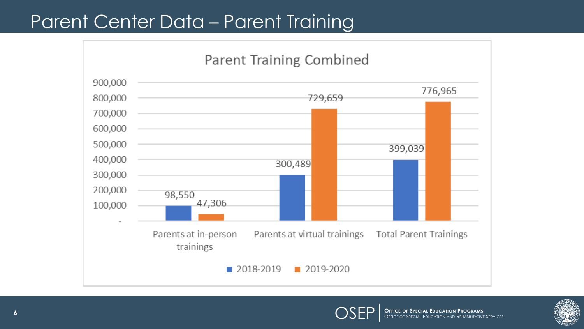#### Parent Center Data – Parent Training





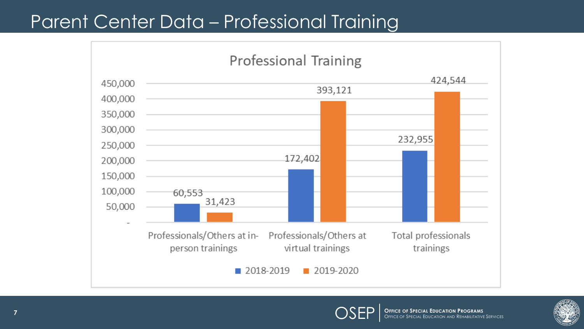#### Parent Center Data – Professional Training





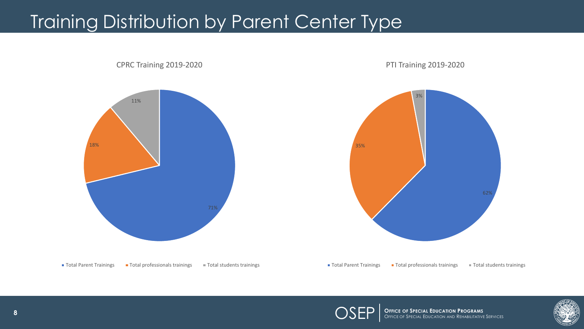# **Training Distribution by Parent Center Type**







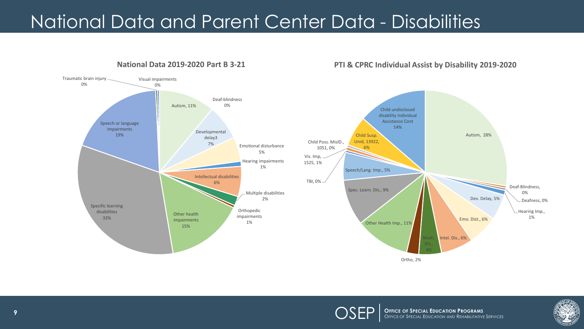## National Data and Parent Center Data - Disabilities

**National Data 2019-2020 Part B 3-21**



#### **PTI & CPRC Individual Assist by Disability 2019-2020**



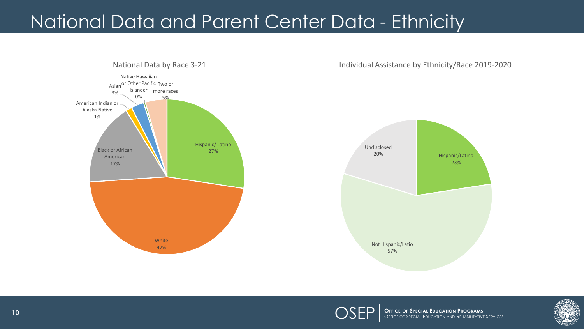## National Data and Parent Center Data - Ethnicity



**OPPICE OF SPECIAL EDUCATION PROGRAMS**<br>Office of Special Education and Rehabilitative Services

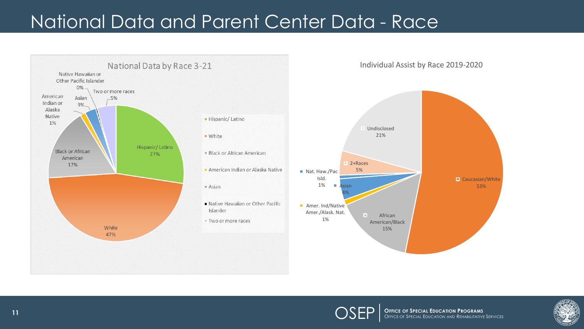### National Data and Parent Center Data - Race



**OFFICE OF SPECIAL EDUCATION PROGRAMS**<br>OFFICE OF SPECIAL EDUCATION AND REHABILITATIVE SERVICES

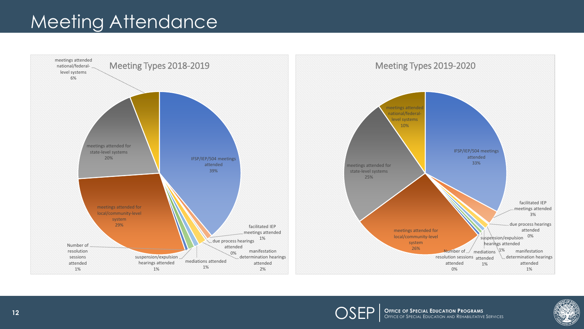#### Meeting Attendance